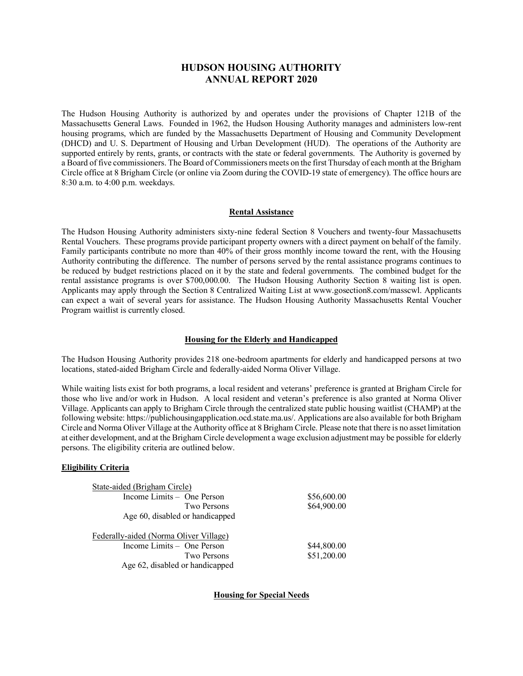# **HUDSON HOUSING AUTHORITY ANNUAL REPORT 2020**

The Hudson Housing Authority is authorized by and operates under the provisions of Chapter 121B of the Massachusetts General Laws. Founded in 1962, the Hudson Housing Authority manages and administers low-rent housing programs, which are funded by the Massachusetts Department of Housing and Community Development (DHCD) and U. S. Department of Housing and Urban Development (HUD). The operations of the Authority are supported entirely by rents, grants, or contracts with the state or federal governments. The Authority is governed by a Board of five commissioners. The Board of Commissioners meets on the first Thursday of each month at the Brigham Circle office at 8 Brigham Circle (or online via Zoom during the COVID-19 state of emergency). The office hours are 8:30 a.m. to 4:00 p.m. weekdays.

# **Rental Assistance**

The Hudson Housing Authority administers sixty-nine federal Section 8 Vouchers and twenty-four Massachusetts Rental Vouchers. These programs provide participant property owners with a direct payment on behalf of the family. Family participants contribute no more than 40% of their gross monthly income toward the rent, with the Housing Authority contributing the difference. The number of persons served by the rental assistance programs continues to be reduced by budget restrictions placed on it by the state and federal governments. The combined budget for the rental assistance programs is over \$700,000.00. The Hudson Housing Authority Section 8 waiting list is open. Applicants may apply through the Section 8 Centralized Waiting List at www.gosection8.com/masscwl. Applicants can expect a wait of several years for assistance. The Hudson Housing Authority Massachusetts Rental Voucher Program waitlist is currently closed.

# **Housing for the Elderly and Handicapped**

The Hudson Housing Authority provides 218 one-bedroom apartments for elderly and handicapped persons at two locations, stated-aided Brigham Circle and federally-aided Norma Oliver Village.

While waiting lists exist for both programs, a local resident and veterans' preference is granted at Brigham Circle for those who live and/or work in Hudson. A local resident and veteran's preference is also granted at Norma Oliver Village. Applicants can apply to Brigham Circle through the centralized state public housing waitlist (CHAMP) at the following website: https://publichousingapplication.ocd.state.ma.us/. Applications are also available for both Brigham Circle and Norma Oliver Village at the Authority office at 8 Brigham Circle. Please note that there is no asset limitation at either development, and at the Brigham Circle development a wage exclusion adjustment may be possible for elderly persons. The eligibility criteria are outlined below.

# **Eligibility Criteria**

| Income Limits $-$ One Person                          | \$56,600.00 |  |
|-------------------------------------------------------|-------------|--|
| Two Persons                                           | \$64,900.00 |  |
| Age 60, disabled or handicapped                       |             |  |
|                                                       |             |  |
|                                                       |             |  |
|                                                       |             |  |
| Income Limits – One Person                            | \$44,800.00 |  |
| Federally-aided (Norma Oliver Village)<br>Two Persons | \$51,200.00 |  |

**Housing for Special Needs**